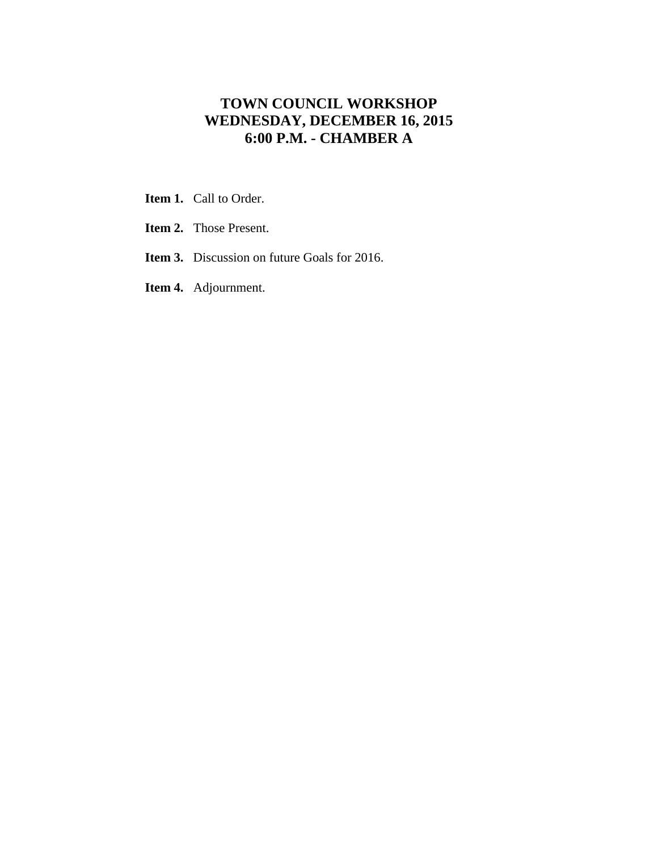# **TOWN COUNCIL WORKSHOP WEDNESDAY, DECEMBER 16, 2015 6:00 P.M. - CHAMBER A**

- **Item 1.** Call to Order.
- **Item 2.** Those Present.
- **Item 3.** Discussion on future Goals for 2016.
- **Item 4.** Adjournment.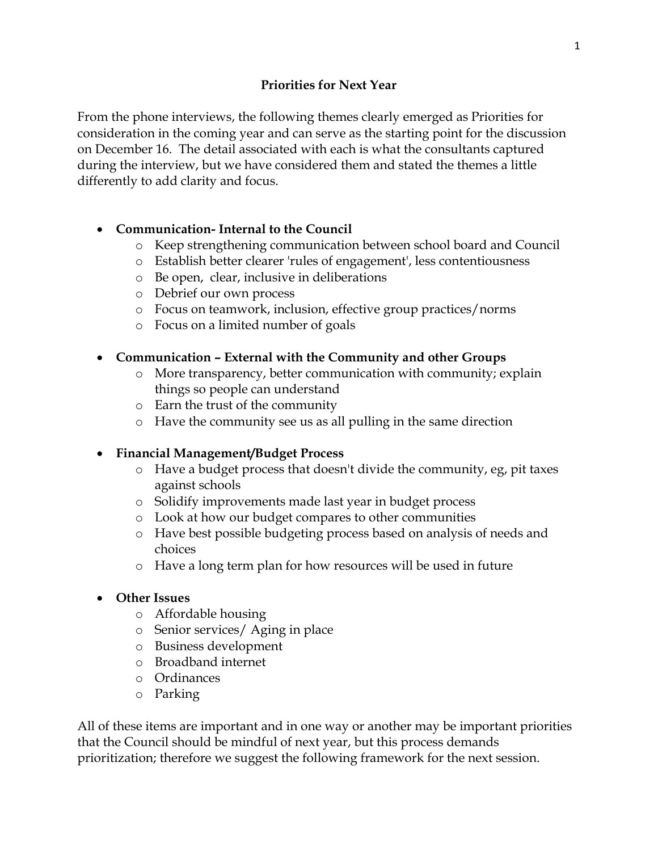From the phone interviews, the following themes clearly emerged as Priorities for consideration in the coming year and can serve as the starting point for the discussion on December 16. The detail associated with each is what the consultants captured during the interview, but we have considered them and stated the themes a little differently to add clarity and focus.

## **Communication- Internal to the Council**

- o Keep strengthening communication between school board and Council
- o Establish better clearer 'rules of engagement', less contentiousness
- o Be open, clear, inclusive in deliberations
- o Debrief our own process
- o Focus on teamwork, inclusion, effective group practices/norms
- o Focus on a limited number of goals

### **Communication – External with the Community and other Groups**

- o More transparency, better communication with community; explain things so people can understand
- o Earn the trust of the community
- o Have the community see us as all pulling in the same direction

## **Financial Management/Budget Process**

- o Have a budget process that doesn't divide the community, eg, pit taxes against schools
- o Solidify improvements made last year in budget process
- o Look at how our budget compares to other communities
- o Have best possible budgeting process based on analysis of needs and choices
- o Have a long term plan for how resources will be used in future
- **Other Issues**
	- o Affordable housing
	- o Senior services/ Aging in place
	- o Business development
	- o Broadband internet
	- o Ordinances
	- o Parking

All of these items are important and in one way or another may be important priorities that the Council should be mindful of next year, but this process demands prioritization; therefore we suggest the following framework for the next session.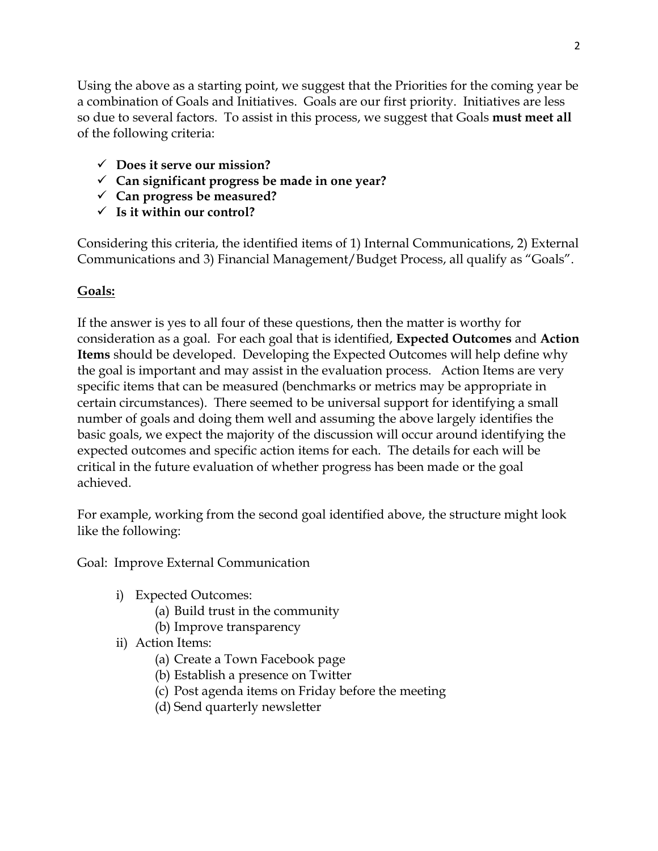Using the above as a starting point, we suggest that the Priorities for the coming year be a combination of Goals and Initiatives. Goals are our first priority. Initiatives are less so due to several factors. To assist in this process, we suggest that Goals **must meet all** of the following criteria:

- **Does it serve our mission?**
- **Can significant progress be made in one year?**
- **Can progress be measured?**
- **Is it within our control?**

Considering this criteria, the identified items of 1) Internal Communications, 2) External Communications and 3) Financial Management/Budget Process, all qualify as "Goals".

### **Goals:**

If the answer is yes to all four of these questions, then the matter is worthy for consideration as a goal. For each goal that is identified, **Expected Outcomes** and **Action Items** should be developed. Developing the Expected Outcomes will help define why the goal is important and may assist in the evaluation process. Action Items are very specific items that can be measured (benchmarks or metrics may be appropriate in certain circumstances). There seemed to be universal support for identifying a small number of goals and doing them well and assuming the above largely identifies the basic goals, we expect the majority of the discussion will occur around identifying the expected outcomes and specific action items for each. The details for each will be critical in the future evaluation of whether progress has been made or the goal achieved.

For example, working from the second goal identified above, the structure might look like the following:

Goal: Improve External Communication

- i) Expected Outcomes:
	- (a) Build trust in the community
	- (b) Improve transparency
- ii) Action Items:
	- (a) Create a Town Facebook page
	- (b) Establish a presence on Twitter
	- (c) Post agenda items on Friday before the meeting
	- (d) Send quarterly newsletter